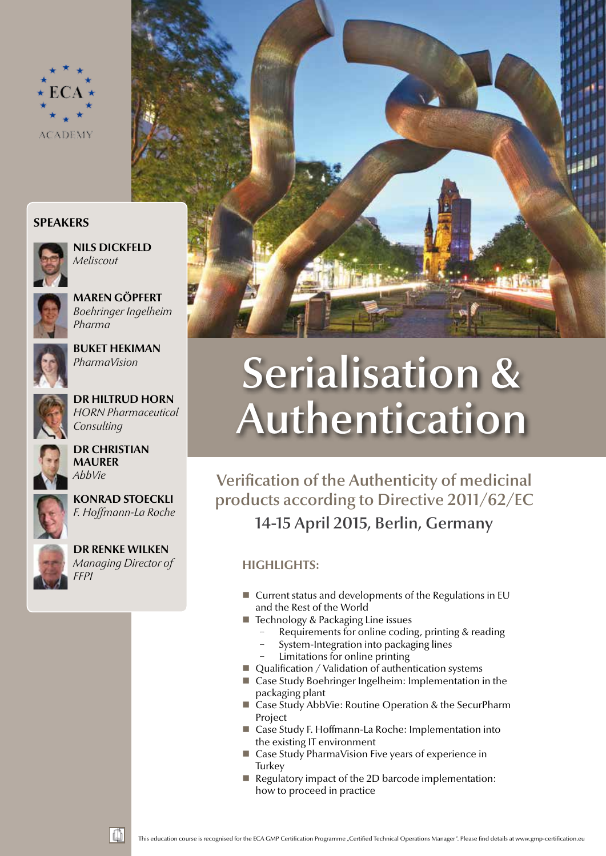

### **Speakers**



**Nils Dickfeld** *Meliscout*



**Maren Göpfert** *Boehringer Ingelheim Pharma*



**Buket Hekiman** *PharmaVision*



**Dr Hiltrud Horn** *HORN Pharmaceutical Consulting*



**Dr Christian Maurer** *AbbVie*



**Konrad Stoeckli** *F. Hoffmann-La Roche*





# Serialisation & Authentication

# Verification of the Authenticity of medicinal products according to Directive 2011/62/EC 14-15 April 2015, Berlin, Germany

## **highlights:**

- $\blacksquare$  Current status and developments of the Regulations in EU and the Rest of the World
- Technology & Packaging Line issues
	- Requirements for online coding, printing & reading
	- − System-Integration into packaging lines
	- Limitations for online printing
- Qualification / Validation of authentication systems
- Case Study Boehringer Ingelheim: Implementation in the packaging plant
- Case Study AbbVie: Routine Operation & the SecurPharm Project
- Case Study F. Hoffmann-La Roche: Implementation into the existing IT environment
- Case Study PharmaVision Five years of experience in **Turkey**
- Regulatory impact of the 2D barcode implementation: how to proceed in practice

This education course is recognised for the ECA GMP Certification Programme "Certified Technical Operations Manager". Please find details at www.gmp-certification.eu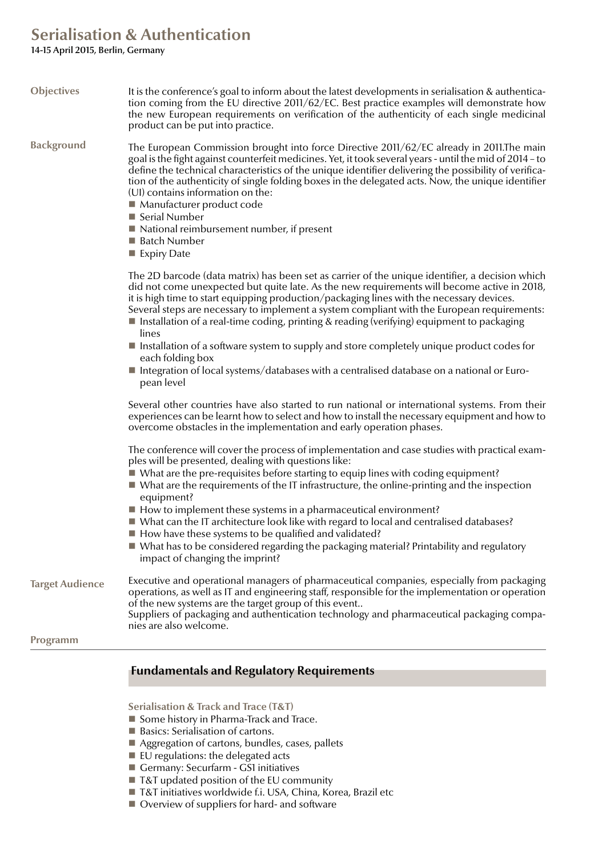# **Serialisation & Authentication**

14-15 April 2015, Berlin, Germany

| <b>Objectives</b>      | It is the conference's goal to inform about the latest developments in serialisation & authentica-<br>tion coming from the EU directive 2011/62/EC. Best practice examples will demonstrate how<br>the new European requirements on verification of the authenticity of each single medicinal<br>product can be put into practice.                                                                                                                                                                                                                                                                       |
|------------------------|----------------------------------------------------------------------------------------------------------------------------------------------------------------------------------------------------------------------------------------------------------------------------------------------------------------------------------------------------------------------------------------------------------------------------------------------------------------------------------------------------------------------------------------------------------------------------------------------------------|
| <b>Background</b>      | The European Commission brought into force Directive 2011/62/EC already in 2011. The main<br>goal is the fight against counterfeit medicines. Yet, it took several years - until the mid of 2014 - to<br>define the technical characteristics of the unique identifier delivering the possibility of verifica-<br>tion of the authenticity of single folding boxes in the delegated acts. Now, the unique identifier<br>(UI) contains information on the:<br>■ Manufacturer product code<br>■ Serial Number<br>$\blacksquare$ National reimbursement number, if present<br>■ Batch Number<br>Expiry Date |
|                        | The 2D barcode (data matrix) has been set as carrier of the unique identifier, a decision which<br>did not come unexpected but quite late. As the new requirements will become active in 2018,<br>it is high time to start equipping production/packaging lines with the necessary devices.<br>Several steps are necessary to implement a system compliant with the European requirements:<br>Installation of a real-time coding, printing & reading (verifying) equipment to packaging<br>lines                                                                                                         |
|                        | Installation of a software system to supply and store completely unique product codes for<br>each folding box<br>Integration of local systems/databases with a centralised database on a national or Euro-<br>pean level                                                                                                                                                                                                                                                                                                                                                                                 |
|                        | Several other countries have also started to run national or international systems. From their<br>experiences can be learnt how to select and how to install the necessary equipment and how to<br>overcome obstacles in the implementation and early operation phases.                                                                                                                                                                                                                                                                                                                                  |
|                        | The conference will cover the process of implementation and case studies with practical exam-<br>ples will be presented, dealing with questions like:<br>■ What are the pre-requisites before starting to equip lines with coding equipment?<br>$\blacksquare$ What are the requirements of the IT infrastructure, the online-printing and the inspection                                                                                                                                                                                                                                                |
|                        | equipment?<br>■ How to implement these systems in a pharmaceutical environment?<br>■ What can the IT architecture look like with regard to local and centralised databases?<br>■ How have these systems to be qualified and validated?<br>■ What has to be considered regarding the packaging material? Printability and regulatory                                                                                                                                                                                                                                                                      |
|                        | impact of changing the imprint?                                                                                                                                                                                                                                                                                                                                                                                                                                                                                                                                                                          |
| <b>Target Audience</b> | Executive and operational managers of pharmaceutical companies, especially from packaging<br>operations, as well as IT and engineering staff, responsible for the implementation or operation<br>of the new systems are the target group of this event<br>Suppliers of packaging and authentication technology and pharmaceutical packaging compa-                                                                                                                                                                                                                                                       |
|                        | nies are also welcome.                                                                                                                                                                                                                                                                                                                                                                                                                                                                                                                                                                                   |
| Programm               |                                                                                                                                                                                                                                                                                                                                                                                                                                                                                                                                                                                                          |

### **Fundamentals and Regulatory Requirements**

**Serialisation & Track and Trace (T&T)**

- Some history in Pharma-Track and Trace.
- Basics: Serialisation of cartons.
- Aggregation of cartons, bundles, cases, pallets
- $\blacksquare$  EU regulations: the delegated acts
- Germany: Securfarm GS1 initiatives
- T&T updated position of the EU community
- T&T initiatives worldwide f.i. USA, China, Korea, Brazil etc
- Overview of suppliers for hard- and software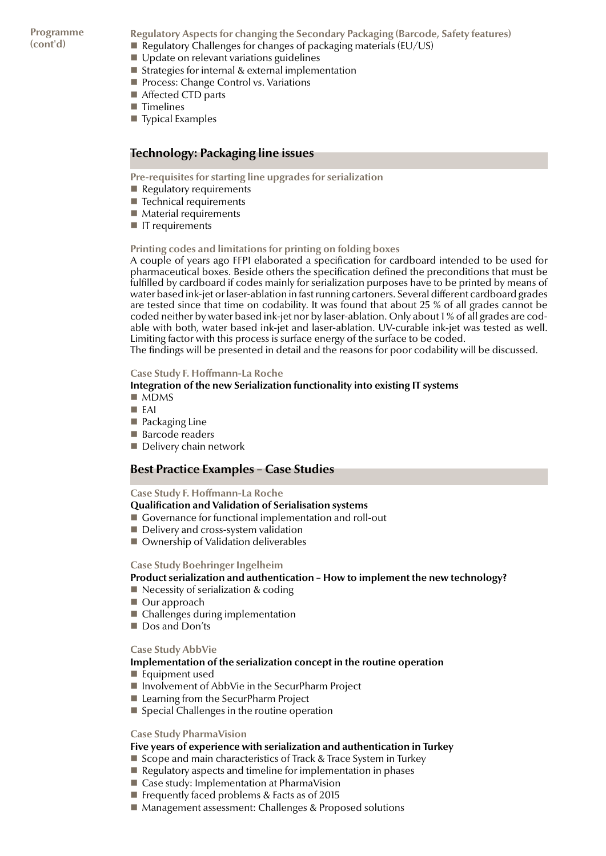**Programme (cont'd)**

**Regulatory Aspects for changing the Secondary Packaging (Barcode, Safety features)**

- Regulatory Challenges for changes of packaging materials ( $EU/US$ )
- Update on relevant variations guidelines
- $\blacksquare$  Strategies for internal & external implementation
- **Process: Change Control vs. Variations**
- Affected CTD parts
- $\blacksquare$  Timelines
- Typical Examples

### **Technology: Packaging line issues**

**Pre-requisites for starting line upgrades for serialization** 

- $\blacksquare$  Regulatory requirements
- $\blacksquare$  Technical requirements
- $\blacksquare$  Material requirements
- $\blacksquare$  IT requirements

### **Printing codes and limitations for printing on folding boxes**

A couple of years ago FFPI elaborated a specification for cardboard intended to be used for pharmaceutical boxes. Beside others the specification defined the preconditions that must be fulfilled by cardboard if codes mainly for serialization purposes have to be printed by means of water based ink-jet or laser-ablation in fast running cartoners. Several different cardboard grades are tested since that time on codability. It was found that about 25 % of all grades cannot be coded neither by water based ink-jet nor by laser-ablation. Only about 1 % of all grades are codable with both, water based ink-jet and laser-ablation. UV-curable ink-jet was tested as well. Limiting factor with this process is surface energy of the surface to be coded.

The findings will be presented in detail and the reasons for poor codability will be discussed.

### **Case Study F. Hoffmann-La Roche**

### **Integration of the new Serialization functionality into existing IT systems**

- $MDMS$
- EAI
- **Packaging Line**
- Barcode readers
- Delivery chain network

### **Best Practice Examples – Case Studies**

### **Case Study F. Hoffmann-La Roche**

### **Qualification and Validation of Serialisation systems**

- Governance for functional implementation and roll-out
- Delivery and cross-system validation
- Ownership of Validation deliverables

### **Case Study Boehringer Ingelheim**

### **Product serialization and authentication – How to implement the new technology?**

- $\blacksquare$  Necessity of serialization & coding
- Our approach
- Challenges during implementation
- Dos and Don'ts

### **Case Study AbbVie**

### **Implementation of the serialization concept in the routine operation**

- Equipment used
- Involvement of AbbVie in the SecurPharm Project
- Learning from the SecurPharm Project
- $\blacksquare$  Special Challenges in the routine operation

### **Case Study PharmaVision**

### **Five years of experience with serialization and authentication in Turkey**

- Scope and main characteristics of Track & Trace System in Turkey
- Regulatory aspects and timeline for implementation in phases
- Case study: Implementation at PharmaVision
- Frequently faced problems  $&$  Facts as of 2015
- Management assessment: Challenges & Proposed solutions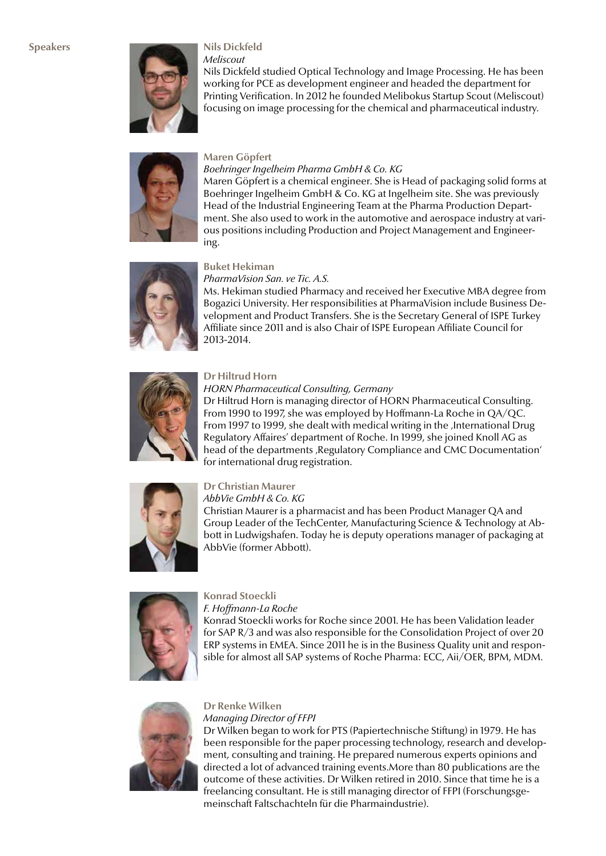

*Meliscout*

Nils Dickfeld studied Optical Technology and Image Processing. He has been working for PCE as development engineer and headed the department for Printing Verification. In 2012 he founded Melibokus Startup Scout (Meliscout) focusing on image processing for the chemical and pharmaceutical industry.



### **Maren Göpfert**

### *Boehringer Ingelheim Pharma GmbH & Co. KG*

Maren Göpfert is a chemical engineer. She is Head of packaging solid forms at Boehringer Ingelheim GmbH & Co. KG at Ingelheim site. She was previously Head of the Industrial Engineering Team at the Pharma Production Department. She also used to work in the automotive and aerospace industry at various positions including Production and Project Management and Engineering.



### **Buket Hekiman** *PharmaVision San. ve Tic. A.S.*

Ms. Hekiman studied Pharmacy and received her Executive MBA degree from Bogazici University. Her responsibilities at PharmaVision include Business Development and Product Transfers. She is the Secretary General of ISPE Turkey Affiliate since 2011 and is also Chair of ISPE European Affiliate Council for 2013-2014.



### **Dr Hiltrud Horn**

### *HORN Pharmaceutical Consulting, Germany*

Dr Hiltrud Horn is managing director of HORN Pharmaceutical Consulting. From 1990 to 1997, she was employed by Hoffmann-La Roche in QA/QC. From 1997 to 1999, she dealt with medical writing in the , International Drug Regulatory Affaires' department of Roche. In 1999, she joined Knoll AG as head of the departments, Regulatory Compliance and CMC Documentation' for international drug registration.



### **Dr Christian Maurer**

*AbbVie GmbH & Co. KG* Christian Maurer is a pharmacist and has been Product Manager QA and Group Leader of the TechCenter, Manufacturing Science & Technology at Abbott in Ludwigshafen. Today he is deputy operations manager of packaging at AbbVie (former Abbott).



### **Konrad Stoeckli**

*F. Hoffmann-La Roche*

Konrad Stoeckli works for Roche since 2001. He has been Validation leader for SAP R/3 and was also responsible for the Consolidation Project of over 20 ERP systems in EMEA. Since 2011 he is in the Business Quality unit and responsible for almost all SAP systems of Roche Pharma: ECC, Aii/OER, BPM, MDM.



### **Dr Renke Wilken**

*Managing Director of FFPI* Dr Wilken began to work for PTS (Papiertechnische Stiftung) in 1979. He has been responsible for the paper processing technology, research and development, consulting and training. He prepared numerous experts opinions and directed a lot of advanced training events.More than 80 publications are the outcome of these activities. Dr Wilken retired in 2010. Since that time he is a freelancing consultant. He is still managing director of FFPI (Forschungsgemeinschaft Faltschachteln für die Pharmaindustrie).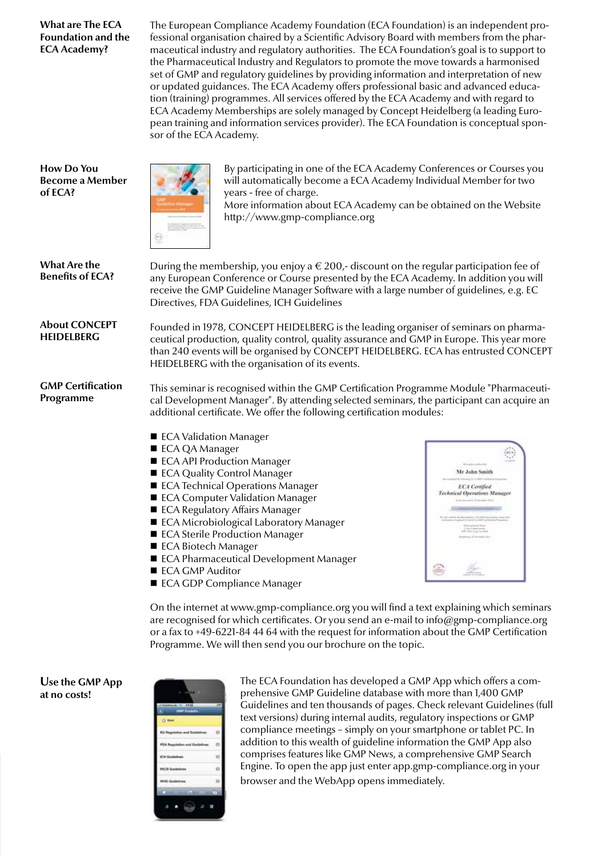**What are The ECA Foundation and the ECA Academy?**

The European Compliance Academy Foundation (ECA Foundation) is an independent professional organisation chaired by a Scientific Advisory Board with members from the pharmaceutical industry and regulatory authorities. The ECA Foundation's goal is to support to the Pharmaceutical Industry and Regulators to promote the move towards a harmonised set of GMP and regulatory guidelines by providing information and interpretation of new or updated guidances. The ECA Academy offers professional basic and advanced education (training) programmes. All services offered by the ECA Academy and with regard to ECA Academy Memberships are solely managed by Concept Heidelberg (a leading European training and information services provider). The ECA Foundation is conceptual sponsor of the ECA Academy.

**How Do You Become a Member of ECA?**



By participating in one of the ECA Academy Conferences or Courses you will automatically become a ECA Academy Individual Member for two years - free of charge.

More information about ECA Academy can be obtained on the Website http://www.gmp-compliance.org

**What Are the**  During the membership, you enjoy a  $\epsilon$  200,- discount on the regular participation fee of **Benefits of ECA?** any European Conference or Course presented by the ECA Academy. In addition you will receive the GMP Guideline Manager Software with a large number of guidelines, e.g. EC Directives, FDA Guidelines, ICH Guidelines **About CONCEPT**  Founded in 1978, CONCEPT HEIDELBERG is the leading organiser of seminars on pharma-**HEIDELBERG** ceutical production, quality control, quality assurance and GMP in Europe. This year more than 240 events will be organised by CONCEPT HEIDELBERG. ECA has entrusted CONCEPT HEIDELBERG with the organisation of its events. **GMP Certification**  This seminar is recognised within the GMP Certification Programme Module "Pharmaceuti-**Programme** cal Development Manager". By attending selected seminars, the participant can acquire an additional certificate. We offer the following certification modules: ■ ECA Validation Manager ■ ECA QA Manager  $_{\rm HCA}$ ■ ECA API Production Manager Mr John Smith ■ ECA Quality Control Manager ECA Technical Operations Manager **ECA** Certified al Opera ■ ECA Computer Validation Manager ■ ECA Regulatory Affairs Manager ■ ECA Microbiological Laboratory Manager ■ ECA Sterile Production Manager ■ ECA Biotech Manager ■ ECA Pharmaceutical Development Manager ■ ECA GMP Auditor ECA GDP Compliance Manager

> On the internet at www.gmp-compliance.org you will find a text explaining which seminars are recognised for which certificates. Or you send an e-mail to info@gmp-compliance.org or a fax to +49-6221-84 44 64 with the request for information about the GMP Certification Programme. We will then send you our brochure on the topic.

**Use the GMP App at no costs!**

| 11.18<br>÷      |   |
|-----------------|---|
| <b>kad</b><br>n |   |
|                 |   |
| ۲Ó              |   |
| <b>Kiri d</b>   |   |
|                 |   |
| т               |   |
|                 | I |
| п<br>۰          |   |

The ECA Foundation has developed a GMP App which offers a comprehensive GMP Guideline database with more than 1,400 GMP Guidelines and ten thousands of pages. Check relevant Guidelines (full text versions) during internal audits, regulatory inspections or GMP compliance meetings – simply on your smartphone or tablet PC. In addition to this wealth of guideline information the GMP App also comprises features like GMP News, a comprehensive GMP Search Engine. To open the app just enter app.gmp-compliance.org in your browser and the WebApp opens immediately.